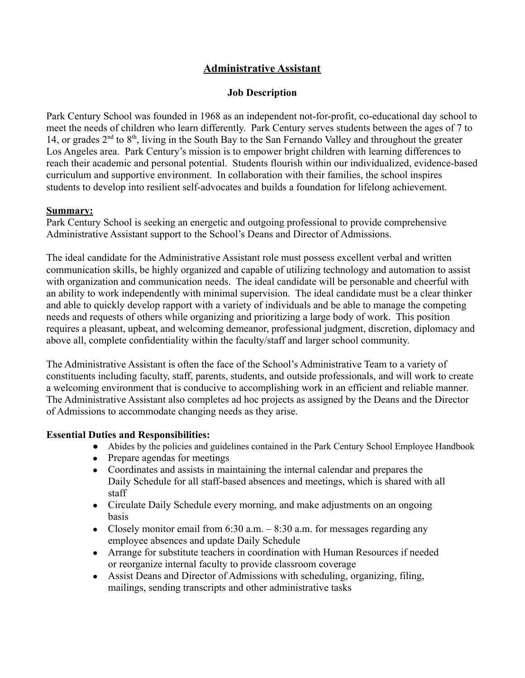## **Administrative Assistant**

### **Job Description**

Park Century School was founded in 1968 as an independent not-for-profit, co-educational day school to meet the needs of children who learn differently. Park Century serves students between the ages of 7 to 14, or grades 2<sup>nd</sup> to 8<sup>th</sup>, living in the South Bay to the San Fernando Valley and throughout the greater Los Angeles area. Park Century's mission is to empower bright children with learning differences to reach their academic and personal potential. Students flourish within our individualized, evidence-based curriculum and supportive environment. In collaboration with their families, the school inspires students to develop into resilient self-advocates and builds a foundation for lifelong achievement.

#### **Summary:**

Park Century School is seeking an energetic and outgoing professional to provide comprehensive Administrative Assistant support to the School's Deans and Director of Admissions.

The ideal candidate for the Administrative Assistant role must possess excellent verbal and written communication skills, be highly organized and capable of utilizing technology and automation to assist with organization and communication needs. The ideal candidate will be personable and cheerful with an ability to work independently with minimal supervision. The ideal candidate must be a clear thinker and able to quickly develop rapport with a variety of individuals and be able to manage the competing needs and requests of others while organizing and prioritizing a large body of work. This position requires a pleasant, upbeat, and welcoming demeanor, professional judgment, discretion, diplomacy and above all, complete confidentiality within the faculty/staff and larger school community.

The Administrative Assistant is often the face of the School's Administrative Team to a variety of constituents including faculty, staff, parents, students, and outside professionals, and will work to create a welcoming environment that is conducive to accomplishing work in an efficient and reliable manner. The Administrative Assistant also completes ad hoc projects as assigned by the Deans and the Director of Admissions to accommodate changing needs as they arise.

## **Essential Duties and Responsibilities:**

- Abides by the policies and guidelines contained in the Park Century School Employee Handbook
- Prepare agendas for meetings
- Coordinates and assists in maintaining the internal calendar and prepares the Daily Schedule for all staff-based absences and meetings, which is shared with all staff
- Circulate Daily Schedule every morning, and make adjustments on an ongoing basis
- Closely monitor email from 6:30 a.m.  $-8:30$  a.m. for messages regarding any employee absences and update Daily Schedule
- Arrange for substitute teachers in coordination with Human Resources if needed or reorganize internal faculty to provide classroom coverage
- Assist Deans and Director of Admissions with scheduling, organizing, filing, mailings, sending transcripts and other administrative tasks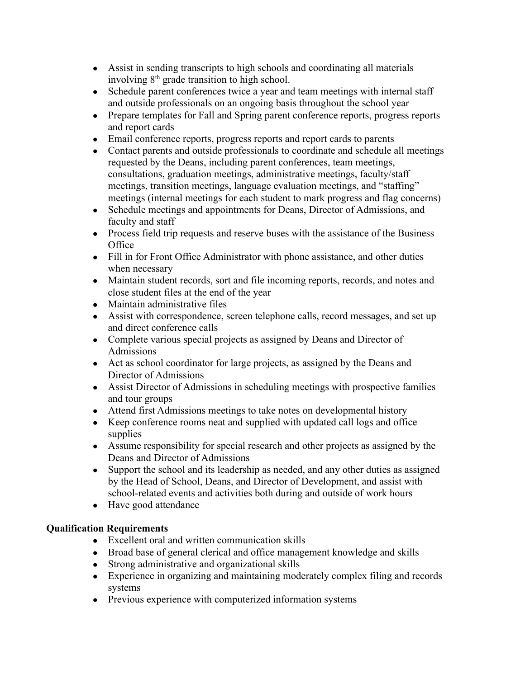- Assist in sending transcripts to high schools and coordinating all materials involving  $8<sup>th</sup>$  grade transition to high school.
- Schedule parent conferences twice a year and team meetings with internal staff and outside professionals on an ongoing basis throughout the school year
- Prepare templates for Fall and Spring parent conference reports, progress reports and report cards
- Email conference reports, progress reports and report cards to parents
- Contact parents and outside professionals to coordinate and schedule all meetings requested by the Deans, including parent conferences, team meetings, consultations, graduation meetings, administrative meetings, faculty/staff meetings, transition meetings, language evaluation meetings, and "staffing" meetings (internal meetings for each student to mark progress and flag concerns)
- Schedule meetings and appointments for Deans, Director of Admissions, and faculty and staff
- Process field trip requests and reserve buses with the assistance of the Business **Office**
- Fill in for Front Office Administrator with phone assistance, and other duties when necessary
- Maintain student records, sort and file incoming reports, records, and notes and close student files at the end of the year
- Maintain administrative files
- Assist with correspondence, screen telephone calls, record messages, and set up and direct conference calls
- Complete various special projects as assigned by Deans and Director of Admissions
- Act as school coordinator for large projects, as assigned by the Deans and Director of Admissions
- Assist Director of Admissions in scheduling meetings with prospective families and tour groups
- Attend first Admissions meetings to take notes on developmental history
- Keep conference rooms neat and supplied with updated call logs and office supplies
- Assume responsibility for special research and other projects as assigned by the Deans and Director of Admissions
- Support the school and its leadership as needed, and any other duties as assigned by the Head of School, Deans, and Director of Development, and assist with school-related events and activities both during and outside of work hours
- Have good attendance

# **Qualification Requirements**

- Excellent oral and written communication skills
- Broad base of general clerical and office management knowledge and skills
- Strong administrative and organizational skills
- Experience in organizing and maintaining moderately complex filing and records systems
- Previous experience with computerized information systems